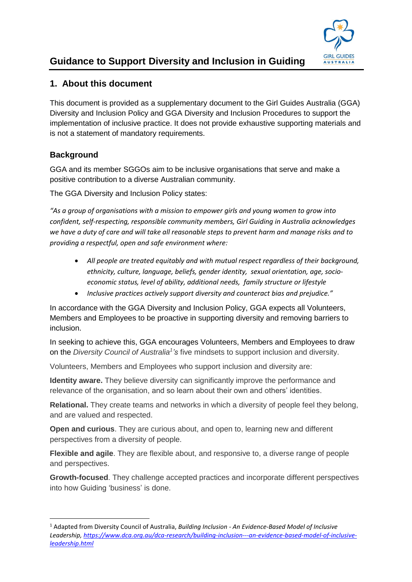

# **Guidance to Support Diversity and Inclusion in Guiding**

# **1. About this document**

This document is provided as a supplementary document to the Girl Guides Australia (GGA) Diversity and Inclusion Policy and GGA Diversity and Inclusion Procedures to support the implementation of inclusive practice. It does not provide exhaustive supporting materials and is not a statement of mandatory requirements.

# **Background**

1

GGA and its member SGGOs aim to be inclusive organisations that serve and make a positive contribution to a diverse Australian community.

The GGA Diversity and Inclusion Policy states:

*"As a group of organisations with a mission to empower girls and young women to grow into confident, self-respecting, responsible community members, Girl Guiding in Australia acknowledges we have a duty of care and will take all reasonable steps to prevent harm and manage risks and to providing a respectful, open and safe environment where:*

- *All people are treated equitably and with mutual respect regardless of their background, ethnicity, culture, language, beliefs, gender identity, sexual orientation, age, socioeconomic status, level of ability, additional needs, family structure or lifestyle*
- *Inclusive practices actively support diversity and counteract bias and prejudice."*

In accordance with the GGA Diversity and Inclusion Policy, GGA expects all Volunteers, Members and Employees to be proactive in supporting diversity and removing barriers to inclusion.

In seeking to achieve this, GGA encourages Volunteers, Members and Employees to draw on the *Diversity Council of Australia<sup>1</sup> 's* five mindsets to support inclusion and diversity.

Volunteers, Members and Employees who support inclusion and diversity are:

**Identity aware.** They believe diversity can significantly improve the performance and relevance of the organisation, and so learn about their own and others' identities.

**Relational.** They create teams and networks in which a diversity of people feel they belong, and are valued and respected.

**Open and curious**. They are curious about, and open to, learning new and different perspectives from a diversity of people.

**Flexible and agile**. They are flexible about, and responsive to, a diverse range of people and perspectives.

**Growth-focused**. They challenge accepted practices and incorporate different perspectives into how Guiding 'business' is done.

<sup>1</sup> Adapted from Diversity Council of Australia, *Building Inclusion - An Evidence-Based Model of Inclusive Leadership, [https://www.dca.org.au/dca-research/building-inclusion---an-evidence-based-model-of-inclusive](https://www.dca.org.au/dca-research/building-inclusion---an-evidence-based-model-of-inclusive-leadership.html)[leadership.html](https://www.dca.org.au/dca-research/building-inclusion---an-evidence-based-model-of-inclusive-leadership.html)*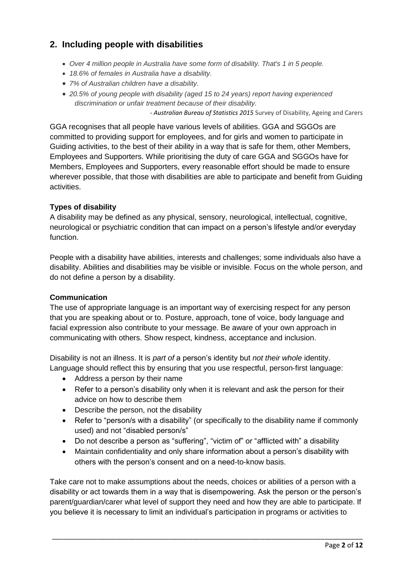# **2. Including people with disabilities**

- *Over 4 million people in Australia have some form of disability. That's 1 in 5 people.*
- *18.6% of females in Australia have a disability.*
- *7% of Australian children have a disability.*
- *20.5% of young people with disability (aged 15 to 24 years) report having experienced discrimination or unfair treatment because of their disability.*

*- Australian Bureau of Statistics 2015* Survey of Disability, Ageing and Carers

GGA recognises that all people have various levels of abilities. GGA and SGGOs are committed to providing support for employees, and for girls and women to participate in Guiding activities, to the best of their ability in a way that is safe for them, other Members, Employees and Supporters. While prioritising the duty of care GGA and SGGOs have for Members, Employees and Supporters, every reasonable effort should be made to ensure wherever possible, that those with disabilities are able to participate and benefit from Guiding activities.

#### **Types of disability**

A disability may be defined as any physical, sensory, neurological, intellectual, cognitive, neurological or psychiatric condition that can impact on a person's lifestyle and/or everyday function.

People with a disability have abilities, interests and challenges; some individuals also have a disability. Abilities and disabilities may be visible or invisible. Focus on the whole person, and do not define a person by a disability.

#### **Communication**

The use of appropriate language is an important way of exercising respect for any person that you are speaking about or to. Posture, approach, tone of voice, body language and facial expression also contribute to your message. Be aware of your own approach in communicating with others. Show respect, kindness, acceptance and inclusion.

Disability is not an illness. It is *part of* a person's identity but *not their whole* identity. Language should reflect this by ensuring that you use respectful, person‐first language:

- Address a person by their name
- Refer to a person's disability only when it is relevant and ask the person for their advice on how to describe them
- Describe the person, not the disability
- Refer to "person/s with a disability" (or specifically to the disability name if commonly used) and not "disabled person/s"
- Do not describe a person as "suffering", "victim of" or "afflicted with" a disability
- Maintain confidentiality and only share information about a person's disability with others with the person's consent and on a need-to-know basis.

Take care not to make assumptions about the needs, choices or abilities of a person with a disability or act towards them in a way that is disempowering. Ask the person or the person's parent/guardian/carer what level of support they need and how they are able to participate. If you believe it is necessary to limit an individual's participation in programs or activities to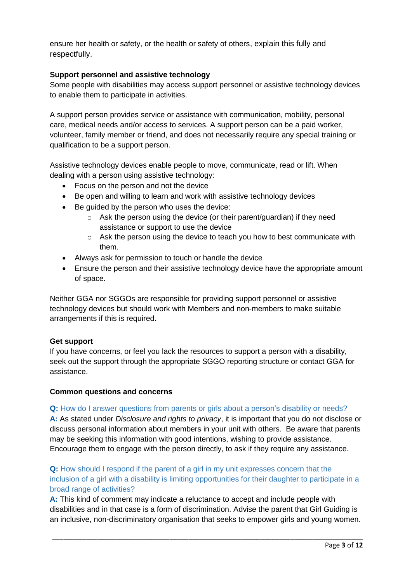ensure her health or safety, or the health or safety of others, explain this fully and respectfully.

### **Support personnel and assistive technology**

Some people with disabilities may access support personnel or assistive technology devices to enable them to participate in activities.

A support person provides service or assistance with communication, mobility, personal care, medical needs and/or access to services. A support person can be a paid worker, volunteer, family member or friend, and does not necessarily require any special training or qualification to be a support person.

Assistive technology devices enable people to move, communicate, read or lift. When dealing with a person using assistive technology:

- Focus on the person and not the device
- Be open and willing to learn and work with assistive technology devices
- Be guided by the person who uses the device:
	- o Ask the person using the device (or their parent/guardian) if they need assistance or support to use the device
	- o Ask the person using the device to teach you how to best communicate with them.
- Always ask for permission to touch or handle the device
- Ensure the person and their assistive technology device have the appropriate amount of space.

Neither GGA nor SGGOs are responsible for providing support personnel or assistive technology devices but should work with Members and non-members to make suitable arrangements if this is required.

#### **Get support**

If you have concerns, or feel you lack the resources to support a person with a disability, seek out the support through the appropriate SGGO reporting structure or contact GGA for assistance.

#### **Common questions and concerns**

#### **Q:** How do I answer questions from parents or girls about a person's disability or needs?

**A:** As stated under *Disclosure and rights to privacy*, it is important that you do not disclose or discuss personal information about members in your unit with others. Be aware that parents may be seeking this information with good intentions, wishing to provide assistance. Encourage them to engage with the person directly, to ask if they require any assistance.

**Q:** How should I respond if the parent of a girl in my unit expresses concern that the inclusion of a girl with a disability is limiting opportunities for their daughter to participate in a broad range of activities?

**A:** This kind of comment may indicate a reluctance to accept and include people with disabilities and in that case is a form of discrimination. Advise the parent that Girl Guiding is an inclusive, non-discriminatory organisation that seeks to empower girls and young women.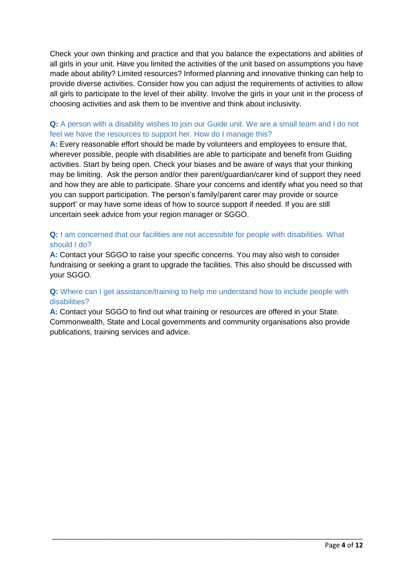Check your own thinking and practice and that you balance the expectations and abilities of all girls in your unit. Have you limited the activities of the unit based on assumptions you have made about ability? Limited resources? Informed planning and innovative thinking can help to provide diverse activities. Consider how you can adjust the requirements of activities to allow all girls to participate to the level of their ability. Involve the girls in your unit in the process of choosing activities and ask them to be inventive and think about inclusivity.

# **Q:** A person with a disability wishes to join our Guide unit. We are a small team and I do not feel we have the resources to support her. How do I manage this?

A: Every reasonable effort should be made by volunteers and employees to ensure that, wherever possible, people with disabilities are able to participate and benefit from Guiding activities. Start by being open. Check your biases and be aware of ways that your thinking may be limiting. Ask the person and/or their parent/guardian/carer kind of support they need and how they are able to participate. Share your concerns and identify what you need so that you can support participation. The person's family/parent carer may provide or source support' or may have some ideas of how to source support if needed. If you are still uncertain seek advice from your region manager or SGGO.

### **Q:** I am concerned that our facilities are not accessible for people with disabilities. What should I do?

**A:** Contact your SGGO to raise your specific concerns. You may also wish to consider fundraising or seeking a grant to upgrade the facilities. This also should be discussed with your SGGO.

### **Q:** Where can I get assistance/training to help me understand how to include people with disabilities?

**A:** Contact your SGGO to find out what training or resources are offered in your State. Commonwealth, State and Local governments and community organisations also provide publications, training services and advice.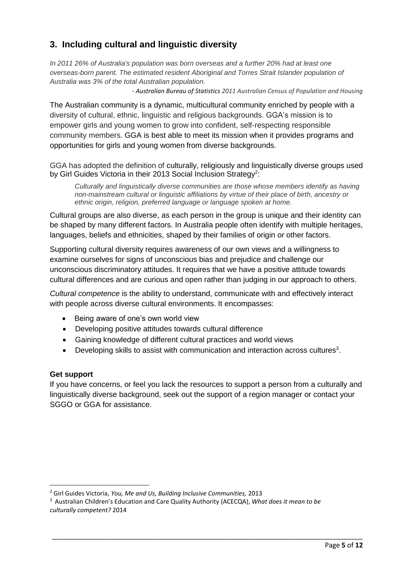# **3. Including cultural and linguistic diversity**

*In 2011 26% of Australia's population was born overseas and a further 20% had at least one overseas-born parent. The estimated resident Aboriginal and Torres Strait Islander population of Australia was 3% of the total Australian population.*

*- Australian Bureau of Statistics 2011 Australian Census of Population and Housing*

The Australian community is a dynamic, multicultural community enriched by people with a diversity of cultural, ethnic, linguistic and religious backgrounds. GGA's mission is to empower girls and young women to grow into confident, self-respecting responsible community members. GGA is best able to meet its mission when it provides programs and opportunities for girls and young women from diverse backgrounds.

GGA has adopted the definition of culturally, religiously and linguistically diverse groups used by Girl Guides Victoria in their 2013 Social Inclusion Strategy<sup>2</sup>:

*Culturally and linguistically diverse communities are those whose members identify as having non-mainstream cultural or linguistic affiliations by virtue of their place of birth, ancestry or ethnic origin, religion, preferred language or language spoken at home.*

Cultural groups are also diverse, as each person in the group is unique and their identity can be shaped by many different factors. In Australia people often identify with multiple heritages, languages, beliefs and ethnicities, shaped by their families of origin or other factors.

Supporting cultural diversity requires awareness of our own views and a willingness to examine ourselves for signs of unconscious bias and prejudice and challenge our unconscious discriminatory attitudes. It requires that we have a positive attitude towards cultural differences and are curious and open rather than judging in our approach to others.

*Cultural competence* is the ability to understand, communicate with and effectively interact with people across diverse cultural environments. It encompasses:

- Being aware of one's own world view
- Developing positive attitudes towards cultural difference
- Gaining knowledge of different cultural practices and world views
- $\bullet$  Developing skills to assist with communication and interaction across cultures<sup>3</sup>.

#### **Get support**

1

If you have concerns, or feel you lack the resources to support a person from a culturally and linguistically diverse background, seek out the support of a region manager or contact your SGGO or GGA for assistance.

<sup>2</sup> Girl Guides Victoria, *You, Me and Us, Building Inclusive Communities,* 2013

<sup>3</sup> Australian [Children's Education and Care Quality Authority](http://acecqa.gov.au/home/) (ACECQA), *What does it mean to be culturally competent?* 2014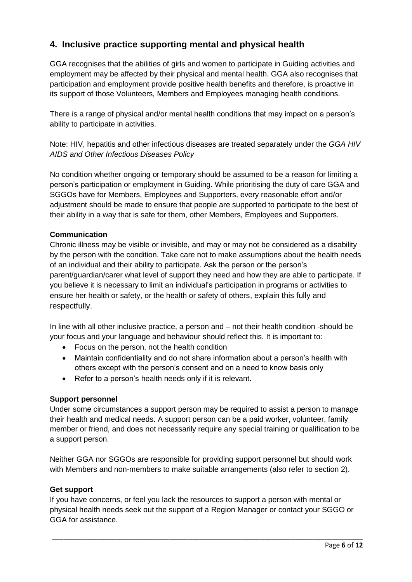# **4. Inclusive practice supporting mental and physical health**

GGA recognises that the abilities of girls and women to participate in Guiding activities and employment may be affected by their physical and mental health. GGA also recognises that participation and employment provide positive health benefits and therefore, is proactive in its support of those Volunteers, Members and Employees managing health conditions.

There is a range of physical and/or mental health conditions that may impact on a person's ability to participate in activities.

Note: HIV, hepatitis and other infectious diseases are treated separately under the *GGA HIV AIDS and Other Infectious Diseases Policy*

No condition whether ongoing or temporary should be assumed to be a reason for limiting a person's participation or employment in Guiding. While prioritising the duty of care GGA and SGGOs have for Members, Employees and Supporters, every reasonable effort and/or adjustment should be made to ensure that people are supported to participate to the best of their ability in a way that is safe for them, other Members, Employees and Supporters.

# **Communication**

Chronic illness may be visible or invisible, and may or may not be considered as a disability by the person with the condition. Take care not to make assumptions about the health needs of an individual and their ability to participate. Ask the person or the person's parent/guardian/carer what level of support they need and how they are able to participate. If you believe it is necessary to limit an individual's participation in programs or activities to ensure her health or safety, or the health or safety of others, explain this fully and respectfully.

In line with all other inclusive practice, a person and – not their health condition -should be your focus and your language and behaviour should reflect this. It is important to:

- Focus on the person, not the health condition
- Maintain confidentiality and do not share information about a person's health with others except with the person's consent and on a need to know basis only
- Refer to a person's health needs only if it is relevant.

#### **Support personnel**

Under some circumstances a support person may be required to assist a person to manage their health and medical needs. A support person can be a paid worker, volunteer, family member or friend, and does not necessarily require any special training or qualification to be a support person.

Neither GGA nor SGGOs are responsible for providing support personnel but should work with Members and non-members to make suitable arrangements (also refer to section 2).

#### **Get support**

If you have concerns, or feel you lack the resources to support a person with mental or physical health needs seek out the support of a Region Manager or contact your SGGO or GGA for assistance.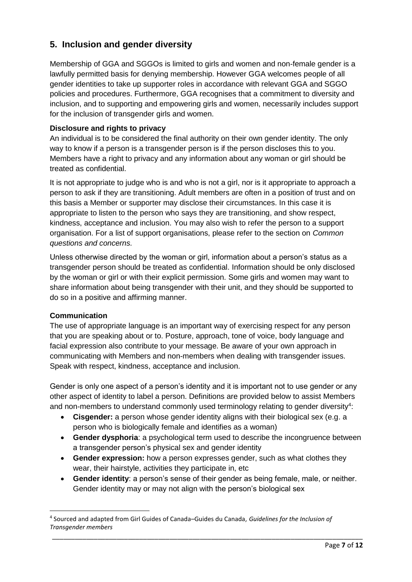# **5. Inclusion and gender diversity**

Membership of GGA and SGGOs is limited to girls and women and non-female gender is a lawfully permitted basis for denying membership. However GGA welcomes people of all gender identities to take up supporter roles in accordance with relevant GGA and SGGO policies and procedures. Furthermore, GGA recognises that a commitment to diversity and inclusion, and to supporting and empowering girls and women, necessarily includes support for the inclusion of transgender girls and women.

# **Disclosure and rights to privacy**

An individual is to be considered the final authority on their own gender identity. The only way to know if a person is a transgender person is if the person discloses this to you. Members have a right to privacy and any information about any woman or girl should be treated as confidential.

It is not appropriate to judge who is and who is not a girl, nor is it appropriate to approach a person to ask if they are transitioning. Adult members are often in a position of trust and on this basis a Member or supporter may disclose their circumstances. In this case it is appropriate to listen to the person who says they are transitioning, and show respect, kindness, acceptance and inclusion. You may also wish to refer the person to a support organisation. For a list of support organisations, please refer to the section on *Common questions and concerns.*

Unless otherwise directed by the woman or girl, information about a person's status as a transgender person should be treated as confidential. Information should be only disclosed by the woman or girl or with their explicit permission. Some girls and women may want to share information about being transgender with their unit, and they should be supported to do so in a positive and affirming manner.

#### **Communication**

**.** 

The use of appropriate language is an important way of exercising respect for any person that you are speaking about or to. Posture, approach, tone of voice, body language and facial expression also contribute to your message. Be aware of your own approach in communicating with Members and non-members when dealing with transgender issues. Speak with respect, kindness, acceptance and inclusion.

Gender is only one aspect of a person's identity and it is important not to use gender or any other aspect of identity to label a person. Definitions are provided below to assist Members and non-members to understand commonly used terminology relating to gender diversity<sup>4</sup>:

- **Cisgender:** a person whose gender identity aligns with their biological sex (e.g. a person who is biologically female and identifies as a woman)
- **Gender dysphoria**: a psychological term used to describe the incongruence between a transgender person's physical sex and gender identity
- **Gender expression:** how a person expresses gender, such as what clothes they wear, their hairstyle, activities they participate in, etc
- **Gender identity**: a person's sense of their gender as being female, male, or neither. Gender identity may or may not align with the person's biological sex

<sup>4</sup> Sourced and adapted from Girl Guides of Canada–Guides du Canada, *Guidelines for the Inclusion of Transgender members*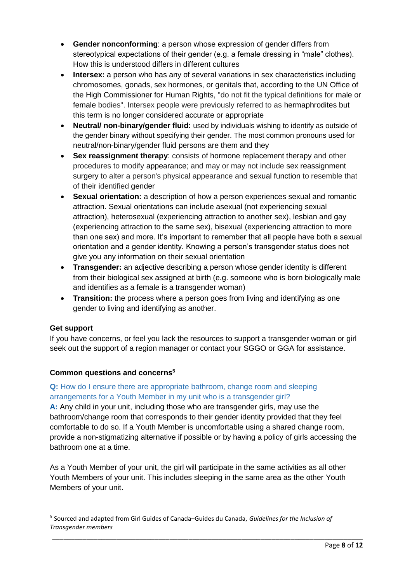- **Gender nonconforming**: a person whose expression of gender differs from stereotypical expectations of their gender (e.g. a female dressing in "male" clothes). How this is understood differs in different cultures
- **Intersex:** a person who has any of several variations in [sex](https://en.wikipedia.org/wiki/Sex) characteristics including [chromosomes,](https://en.wikipedia.org/wiki/Chromosome) [gonads,](https://en.wikipedia.org/wiki/Gonad) [sex hormones,](https://en.wikipedia.org/wiki/Sex_hormones) or [genitals](https://en.wikipedia.org/wiki/Genital) that, according to the UN [Office of](https://en.wikipedia.org/wiki/Office_of_the_High_Commissioner_for_Human_Rights)  [the High Commissioner for Human Rights,](https://en.wikipedia.org/wiki/Office_of_the_High_Commissioner_for_Human_Rights) "do not fit the typical definitions for [male](https://en.wikipedia.org/wiki/Male) or female bodies". Intersex people were previously referred to as hermaphrodites but this term is no longer considered accurate or appropriate
- **Neutral/ non-binary/gender fluid:** used by individuals wishing to identify as outside of the gender binary without specifying their gender. The most common pronouns used for neutral/non-binary/gender fluid persons are them and they
- **Sex reassignment therapy**: consists of hormone replacement therapy and other procedures to modify appearance; and may or may not include sex reassignment surgery to alter a person's physical appearance and sexual function to resemble that of their identified gender
- **Sexual orientation:** a description of how a person experiences sexual and romantic attraction. Sexual orientations can include asexual (not experiencing sexual attraction), heterosexual (experiencing attraction to another sex), lesbian and gay (experiencing attraction to the same sex), bisexual (experiencing attraction to more than one sex) and more. It's important to remember that all people have both a sexual orientation and a gender identity. Knowing a person's transgender status does not give you any information on their sexual orientation
- **Transgender:** an adjective describing a person whose gender identity is different from their biological sex assigned at birth (e.g. someone who is born biologically male and identifies as a female is a transgender woman)
- **Transition:** the process where a person goes from living and identifying as one gender to living and identifying as another.

# **Get support**

**.** 

If you have concerns, or feel you lack the resources to support a transgender woman or girl seek out the support of a region manager or contact your SGGO or GGA for assistance.

# **Common questions and concerns<sup>5</sup>**

# **Q:** How do I ensure there are appropriate bathroom, change room and sleeping arrangements for a Youth Member in my unit who is a transgender girl?

**A:** Any child in your unit, including those who are transgender girls, may use the bathroom/change room that corresponds to their gender identity provided that they feel comfortable to do so. If a Youth Member is uncomfortable using a shared change room, provide a non-stigmatizing alternative if possible or by having a policy of girls accessing the bathroom one at a time.

As a Youth Member of your unit, the girl will participate in the same activities as all other Youth Members of your unit. This includes sleeping in the same area as the other Youth Members of your unit.

<sup>5</sup> Sourced and adapted from Girl Guides of Canada–Guides du Canada, *Guidelines for the Inclusion of Transgender members*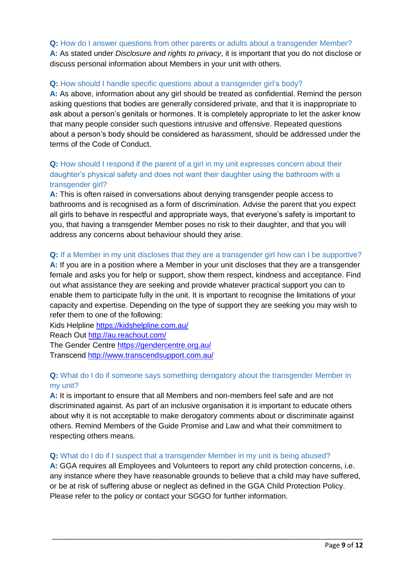#### **Q:** How do I answer questions from other parents or adults about a transgender Member?

**A:** As stated under *Disclosure and rights to privacy*, it is important that you do not disclose or discuss personal information about Members in your unit with others.

#### **Q:** How should I handle specific questions about a transgender girl's body?

A: As above, information about any girl should be treated as confidential. Remind the person asking questions that bodies are generally considered private, and that it is inappropriate to ask about a person's genitals or hormones. It is completely appropriate to let the asker know that many people consider such questions intrusive and offensive. Repeated questions about a person's body should be considered as harassment, should be addressed under the terms of the Code of Conduct.

# **Q:** How should I respond if the parent of a girl in my unit expresses concern about their daughter's physical safety and does not want their daughter using the bathroom with a transgender girl?

**A:** This is often raised in conversations about denying transgender people access to bathrooms and is recognised as a form of discrimination. Advise the parent that you expect all girls to behave in respectful and appropriate ways, that everyone's safety is important to you, that having a transgender Member poses no risk to their daughter, and that you will address any concerns about behaviour should they arise.

### **Q:** If a Member in my unit discloses that they are a transgender girl how can I be supportive?

**A:** If you are in a position where a Member in your unit discloses that they are a transgender female and asks you for help or support, show them respect, kindness and acceptance. Find out what assistance they are seeking and provide whatever practical support you can to enable them to participate fully in the unit. It is important to recognise the limitations of your capacity and expertise. Depending on the type of support they are seeking you may wish to refer them to one of the following:

Kids Helpline <https://kidshelpline.com.au/>

Reach Out<http://au.reachout.com/>

The Gender Centre<https://gendercentre.org.au/>

Transcend <http://www.transcendsupport.com.au/>

# **Q:** What do I do if someone says something derogatory about the transgender Member in my unit?

**A:** It is important to ensure that all Members and non-members feel safe and are not discriminated against. As part of an inclusive organisation it is important to educate others about why it is not acceptable to make derogatory comments about or discriminate against others. Remind Members of the Guide Promise and Law and what their commitment to respecting others means.

#### **Q:** What do I do if I suspect that a transgender Member in my unit is being abused?

**A:** GGA requires all Employees and Volunteers to report any child protection concerns, i.e. any instance where they have reasonable grounds to believe that a child may have suffered, or be at risk of suffering abuse or neglect as defined in the GGA Child Protection Policy. Please refer to the policy or contact your SGGO for further information.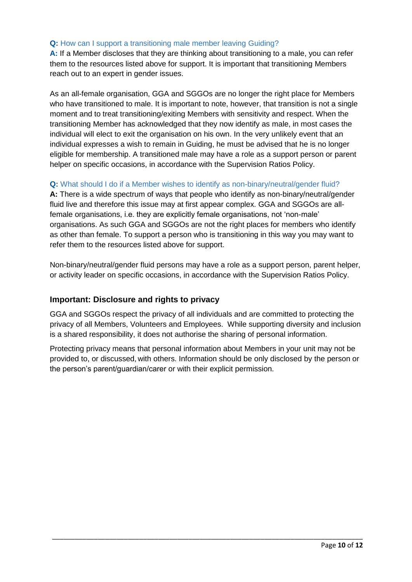### **Q:** How can I support a transitioning male member leaving Guiding?

**A:** If a Member discloses that they are thinking about transitioning to a male, you can refer them to the resources listed above for support. It is important that transitioning Members reach out to an expert in gender issues.

As an all-female organisation, GGA and SGGOs are no longer the right place for Members who have transitioned to male. It is important to note, however, that transition is not a single moment and to treat transitioning/exiting Members with sensitivity and respect. When the transitioning Member has acknowledged that they now identify as male, in most cases the individual will elect to exit the organisation on his own. In the very unlikely event that an individual expresses a wish to remain in Guiding, he must be advised that he is no longer eligible for membership. A transitioned male may have a role as a support person or parent helper on specific occasions, in accordance with the Supervision Ratios Policy.

# **Q:** What should I do if a Member wishes to identify as non-binary/neutral/gender fluid?

**A:** There is a wide spectrum of ways that people who identify as non-binary/neutral/gender fluid live and therefore this issue may at first appear complex. GGA and SGGOs are allfemale organisations, i.e. they are explicitly female organisations, not 'non-male' organisations. As such GGA and SGGOs are not the right places for members who identify as other than female. To support a person who is transitioning in this way you may want to refer them to the resources listed above for support.

Non-binary/neutral/gender fluid persons may have a role as a support person, parent helper, or activity leader on specific occasions, in accordance with the Supervision Ratios Policy.

# **Important: Disclosure and rights to privacy**

GGA and SGGOs respect the privacy of all individuals and are committed to protecting the privacy of all Members, Volunteers and Employees. While supporting diversity and inclusion is a shared responsibility, it does not authorise the sharing of personal information.

Protecting privacy means that personal information about Members in your unit may not be provided to, or discussed, with others. Information should be only disclosed by the person or the person's parent/guardian/carer or with their explicit permission.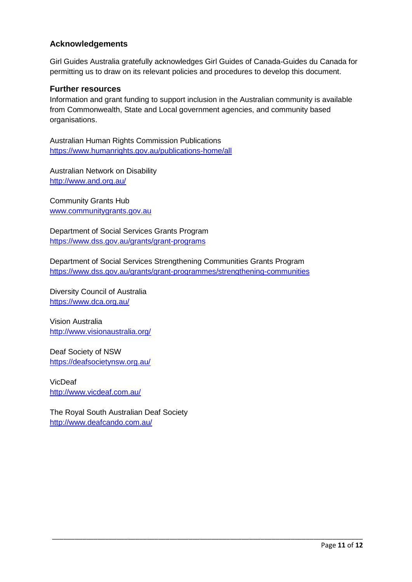# **Acknowledgements**

Girl Guides Australia gratefully acknowledges Girl Guides of Canada-Guides du Canada for permitting us to draw on its relevant policies and procedures to develop this document.

#### **Further resources**

Information and grant funding to support inclusion in the Australian community is available from Commonwealth, State and Local government agencies, and community based organisations.

Australian Human Rights Commission Publications <https://www.humanrights.gov.au/publications-home/all>

Australian Network on Disability <http://www.and.org.au/>

Community Grants Hub [www.communitygrants.gov.au](http://www.communitygrants.gov.au/)

Department of Social Services Grants Program <https://www.dss.gov.au/grants/grant-programs>

Department of Social Services Strengthening Communities Grants Program <https://www.dss.gov.au/grants/grant-programmes/strengthening-communities>

\_\_\_\_\_\_\_\_\_\_\_\_\_\_\_\_\_\_\_\_\_\_\_\_\_\_\_\_\_\_\_\_\_\_\_\_\_\_\_\_\_\_\_\_\_\_\_\_\_\_\_\_\_\_\_\_\_\_\_\_\_\_\_\_\_\_\_\_\_\_\_\_\_\_\_\_\_\_\_\_\_\_

Diversity Council of Australia <https://www.dca.org.au/>

Vision Australia <http://www.visionaustralia.org/>

Deaf Society of NSW <https://deafsocietynsw.org.au/>

VicDeaf <http://www.vicdeaf.com.au/>

The Royal South Australian Deaf Society <http://www.deafcando.com.au/>